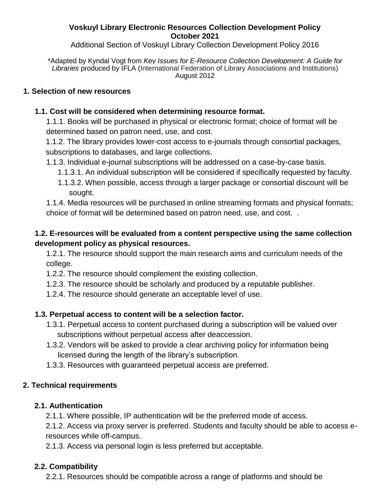#### **Voskuyl Library Electronic Resources Collection Development Policy October 2021**

Additional Section of Voskuyl Library Collection Development Policy 2016

\*Adapted by Kyndal Vogt from *Key Issues for E-Resource Collection Development: A Guide for Libraries* produced by IFLA (International Federation of Library Associations and Institutions) August 2012

#### **1. Selection of new resources**

## **1.1. Cost will be considered when determining resource format.**

1.1.1. Books will be purchased in physical or electronic format; choice of format will be determined based on patron need, use, and cost.

1.1.2. The library provides lower-cost access to e-journals through consortial packages, subscriptions to databases, and large collections.

- 1.1.3. Individual e-journal subscriptions will be addressed on a case-by-case basis.
	- 1.1.3.1. An individual subscription will be considered if specifically requested by faculty.
	- 1.1.3.2. When possible, access through a larger package or consortial discount will be sought.

1.1.4. Media resources will be purchased in online streaming formats and physical formats; choice of format will be determined based on patron need, use, and cost. .

# **1.2. E-resources will be evaluated from a content perspective using the same collection development policy as physical resources.**

1.2.1. The resource should support the main research aims and curriculum needs of the college.

- 1.2.2. The resource should complement the existing collection.
- 1.2.3. The resource should be scholarly and produced by a reputable publisher.
- 1.2.4. The resource should generate an acceptable level of use.

## **1.3. Perpetual access to content will be a selection factor.**

- 1.3.1. Perpetual access to content purchased during a subscription will be valued over subscriptions without perpetual access after deaccession.
- 1.3.2. Vendors will be asked to provide a clear archiving policy for information being licensed during the length of the library's subscription.
- 1.3.3. Resources with guaranteed perpetual access are preferred.

## **2. Technical requirements**

## **2.1. Authentication**

2.1.1. Where possible, IP authentication will be the preferred mode of access.

2.1.2. Access via proxy server is preferred. Students and faculty should be able to access eresources while off-campus.

2.1.3. Access via personal login is less preferred but acceptable.

## **2.2. Compatibility**

2.2.1. Resources should be compatible across a range of platforms and should be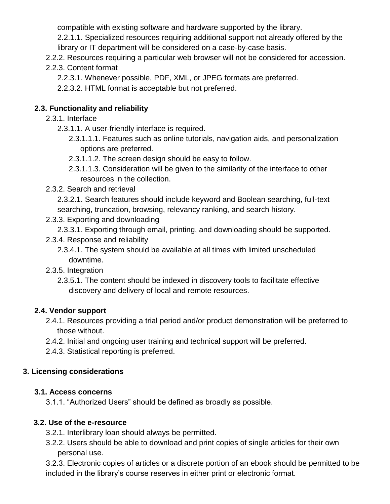compatible with existing software and hardware supported by the library.

2.2.1.1. Specialized resources requiring additional support not already offered by the library or IT department will be considered on a case-by-case basis.

- 2.2.2. Resources requiring a particular web browser will not be considered for accession.
- 2.2.3. Content format
	- 2.2.3.1. Whenever possible, PDF, XML, or JPEG formats are preferred.
	- 2.2.3.2. HTML format is acceptable but not preferred.

## **2.3. Functionality and reliability**

- 2.3.1. Interface
	- 2.3.1.1. A user-friendly interface is required.
		- 2.3.1.1.1. Features such as online tutorials, navigation aids, and personalization options are preferred.
		- 2.3.1.1.2. The screen design should be easy to follow.
		- 2.3.1.1.3. Consideration will be given to the similarity of the interface to other resources in the collection.
- 2.3.2. Search and retrieval
	- 2.3.2.1. Search features should include keyword and Boolean searching, full-text searching, truncation, browsing, relevancy ranking, and search history.
- 2.3.3. Exporting and downloading
	- 2.3.3.1. Exporting through email, printing, and downloading should be supported.
- 2.3.4. Response and reliability
	- 2.3.4.1. The system should be available at all times with limited unscheduled downtime.
- 2.3.5. Integration
	- 2.3.5.1. The content should be indexed in discovery tools to facilitate effective discovery and delivery of local and remote resources.

## **2.4. Vendor support**

- 2.4.1. Resources providing a trial period and/or product demonstration will be preferred to those without.
- 2.4.2. Initial and ongoing user training and technical support will be preferred.
- 2.4.3. Statistical reporting is preferred.

## **3. Licensing considerations**

#### **3.1. Access concerns**

3.1.1. "Authorized Users" should be defined as broadly as possible.

## **3.2. Use of the e-resource**

- 3.2.1. Interlibrary loan should always be permitted.
- 3.2.2. Users should be able to download and print copies of single articles for their own personal use.

3.2.3. Electronic copies of articles or a discrete portion of an ebook should be permitted to be included in the library's course reserves in either print or electronic format.